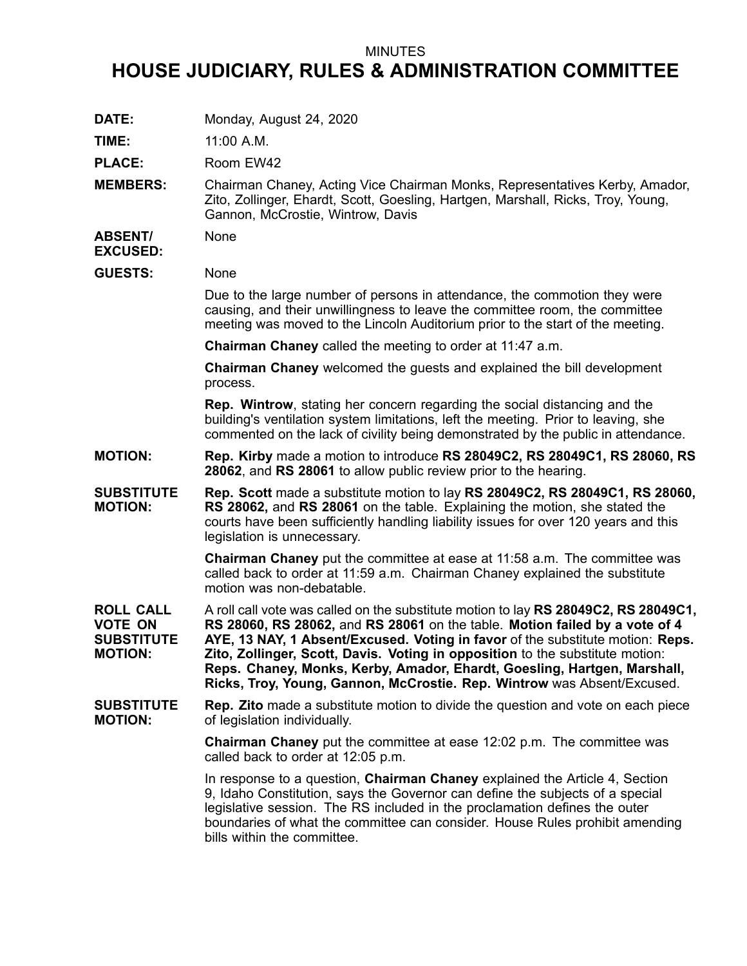## MINUTES

## **HOUSE JUDICIARY, RULES & ADMINISTRATION COMMITTEE**

**DATE:** Monday, August 24, 2020

**TIME:** 11:00 A.M.

PLACE: Room EW42

**MEMBERS:** Chairman Chaney, Acting Vice Chairman Monks, Representatives Kerby, Amador, Zito, Zollinger, Ehardt, Scott, Goesling, Hartgen, Marshall, Ricks, Troy, Young, Gannon, McCrostie, Wintrow, Davis

**ABSENT/** None

**EXCUSED:**

**GUESTS:** None

Due to the large number of persons in attendance, the commotion they were causing, and their unwillingness to leave the committee room, the committee meeting was moved to the Lincoln Auditorium prior to the start of the meeting.

**Chairman Chaney** called the meeting to order at 11:47 a.m.

**Chairman Chaney** welcomed the guests and explained the bill development process.

**Rep. Wintrow**, stating her concern regarding the social distancing and the building's ventilation system limitations, left the meeting. Prior to leaving, she commented on the lack of civility being demonstrated by the public in attendance.

## **MOTION: Rep. Kirby** made <sup>a</sup> motion to introduce **RS 28049C2, RS 28049C1, RS 28060, RS 28062**, and **RS 28061** to allow public review prior to the hearing.

**SUBSTITUTE MOTION: Rep. Scott** made <sup>a</sup> substitute motion to lay **RS 28049C2, RS 28049C1, RS 28060, RS 28062,** and **RS 28061** on the table. Explaining the motion, she stated the courts have been sufficiently handling liability issues for over 120 years and this legislation is unnecessary.

> **Chairman Chaney** put the committee at ease at 11:58 a.m. The committee was called back to order at 11:59 a.m. Chairman Chaney explained the substitute motion was non-debatable.

**ROLL CALL VOTE ON SUBSTITUTE MOTION:** A roll call vote was called on the substitute motion to lay **RS 28049C2, RS 28049C1, RS 28060, RS 28062,** and **RS 28061** on the table. **Motion failed by <sup>a</sup> vote of 4 AYE, 13 NAY, 1 Absent/Excused. Voting in favor** of the substitute motion: **Reps. Zito, Zollinger, Scott, Davis. Voting in opposition** to the substitute motion: **Reps. Chaney, Monks, Kerby, Amador, Ehardt, Goesling, Hartgen, Marshall, Ricks, Troy, Young, Gannon, McCrostie. Rep. Wintrow** was Absent/Excused.

**SUBSTITUTE MOTION: Rep. Zito** made <sup>a</sup> substitute motion to divide the question and vote on each piece of legislation individually.

> **Chairman Chaney** put the committee at ease 12:02 p.m. The committee was called back to order at 12:05 p.m.

In response to <sup>a</sup> question, **Chairman Chaney** explained the Article 4, Section 9, Idaho Constitution, says the Governor can define the subjects of <sup>a</sup> special legislative session. The RS included in the proclamation defines the outer boundaries of what the committee can consider. House Rules prohibit amending bills within the committee.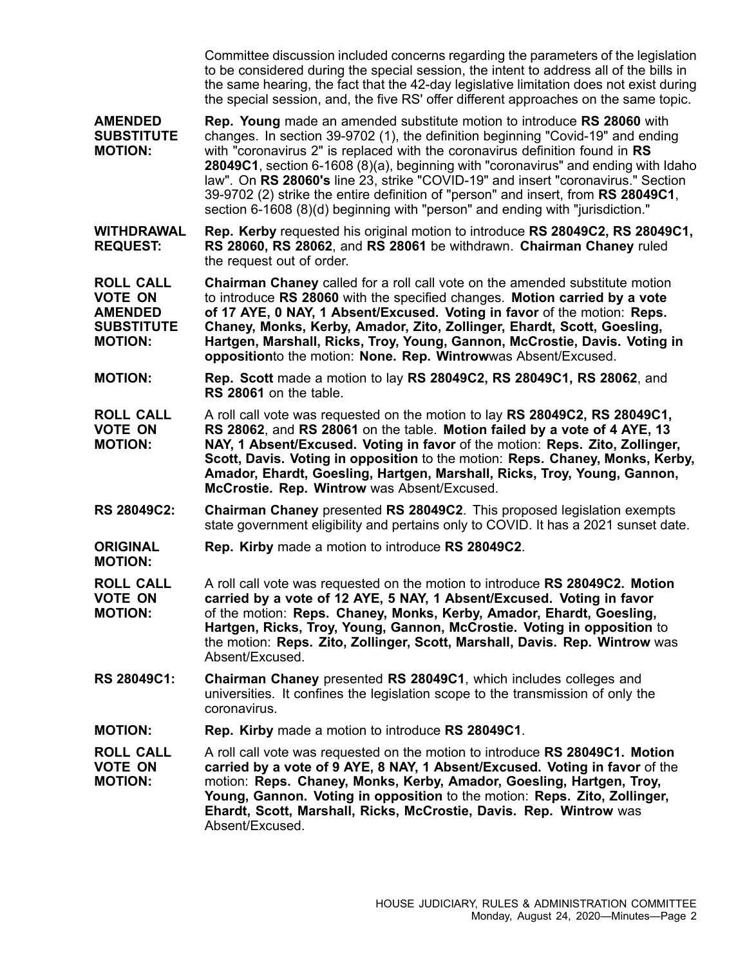Committee discussion included concerns regarding the parameters of the legislation to be considered during the special session, the intent to address all of the bills in the same hearing, the fact that the 42-day legislative limitation does not exist during the special session, and, the five RS' offer different approaches on the same topic.

**AMENDED SUBSTITUTE MOTION: Rep. Young** made an amended substitute motion to introduce **RS 28060** with changes. In section 39-9702 (1), the definition beginning "Covid-19" and ending with "coronavirus 2" is replaced with the coronavirus definition found in **RS 28049C1**, section 6-1608 (8)(a), beginning with "coronavirus" and ending with Idaho law". On **RS 28060's** line 23, strike "COVID-19" and insert "coronavirus." Section 39-9702 (2) strike the entire definition of "person" and insert, from **RS 28049C1**, section 6-1608 (8)(d) beginning with "person" and ending with "jurisdiction."

**WITHDRAWAL REQUEST: Rep. Kerby** requested his original motion to introduce **RS 28049C2, RS 28049C1, RS 28060, RS 28062**, and **RS 28061** be withdrawn. **Chairman Chaney** ruled the request out of order.

**ROLL CALL VOTE ON AMENDED SUBSTITUTE MOTION: Chairman Chaney** called for <sup>a</sup> roll call vote on the amended substitute motion to introduce **RS 28060** with the specified changes. **Motion carried by <sup>a</sup> vote of 17 AYE, 0 NAY, 1 Absent/Excused. Voting in favor** of the motion: **Reps. Chaney, Monks, Kerby, Amador, Zito, Zollinger, Ehardt, Scott, Goesling, Hartgen, Marshall, Ricks, Troy, Young, Gannon, McCrostie, Davis. Voting in opposition**to the motion: **None. Rep. Wintrow**was Absent/Excused.

- **MOTION: Rep. Scott** made <sup>a</sup> motion to lay **RS 28049C2, RS 28049C1, RS 28062**, and **RS 28061** on the table.
- **ROLL CALL VOTE ON MOTION:** A roll call vote was requested on the motion to lay **RS 28049C2, RS 28049C1, RS 28062**, and **RS 28061** on the table. **Motion failed by <sup>a</sup> vote of 4 AYE, 13 NAY, 1 Absent/Excused. Voting in favor** of the motion: **Reps. Zito, Zollinger, Scott, Davis. Voting in opposition** to the motion: **Reps. Chaney, Monks, Kerby, Amador, Ehardt, Goesling, Hartgen, Marshall, Ricks, Troy, Young, Gannon, McCrostie. Rep. Wintrow** was Absent/Excused.
- **RS 28049C2: Chairman Chaney** presented **RS 28049C2**. This proposed legislation exempts state government eligibility and pertains only to COVID. It has <sup>a</sup> 2021 sunset date.
- **ORIGINAL Rep. Kirby** made <sup>a</sup> motion to introduce **RS 28049C2**.

**MOTION:**

- **ROLL CALL VOTE ON MOTION:** A roll call vote was requested on the motion to introduce **RS 28049C2. Motion carried by <sup>a</sup> vote of 12 AYE, 5 NAY, 1 Absent/Excused. Voting in favor** of the motion: **Reps. Chaney, Monks, Kerby, Amador, Ehardt, Goesling, Hartgen, Ricks, Troy, Young, Gannon, McCrostie. Voting in opposition** to the motion: **Reps. Zito, Zollinger, Scott, Marshall, Davis. Rep. Wintrow** was Absent/Excused.
- **RS 28049C1: Chairman Chaney** presented **RS 28049C1**, which includes colleges and universities. It confines the legislation scope to the transmission of only the coronavirus.
- **MOTION: Rep. Kirby** made <sup>a</sup> motion to introduce **RS 28049C1**.

**ROLL CALL VOTE ON MOTION:** A roll call vote was requested on the motion to introduce **RS 28049C1. Motion carried by <sup>a</sup> vote of 9 AYE, 8 NAY, 1 Absent/Excused. Voting in favor** of the motion: **Reps. Chaney, Monks, Kerby, Amador, Goesling, Hartgen, Troy, Young, Gannon. Voting in opposition** to the motion: **Reps. Zito, Zollinger, Ehardt, Scott, Marshall, Ricks, McCrostie, Davis. Rep. Wintrow** was Absent/Excused.